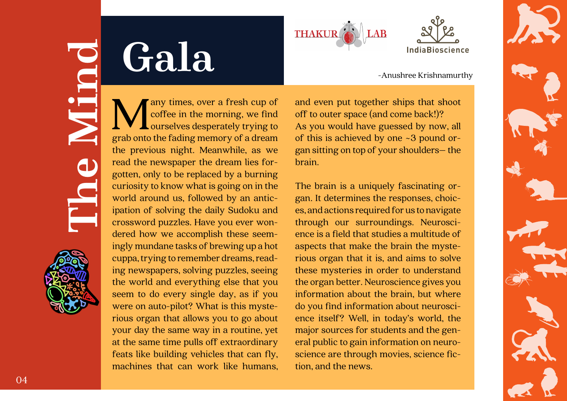### **Gala**





# **The Mind**





Many times, over a fresh cup of<br>coffee in the morning, we find<br>grab onto the fading memory of a dream coffee in the morning, we find ourselves desperately trying to grab onto the fading memory of a dream the previous night. Meanwhile, as we read the newspaper the dream lies forgotten, only to be replaced by a burning curiosity to know what is going on in the world around us, followed by an anticipation of solving the daily Sudoku and crossword puzzles. Have you ever wondered how we accomplish these seemingly mundane tasks of brewing up a hot cuppa, trying to remember dreams, reading newspapers, solving puzzles, seeing the world and everything else that you seem to do every single day, as if you were on auto-pilot? What is this mysterious organ that allows you to go about your day the same way in a routine, yet at the same time pulls off extraordinary feats like building vehicles that can fly, machines that can work like humans,

and even put together ships that shoot off to outer space (and come back!)? As you would have guessed by now, all of this is achieved by one ~3 pound organ sitting on top of your shoulders– the brain.

The brain is a uniquely fascinating organ. It determines the responses, choices, and actions required for us to navigate through our surroundings. Neuroscience is a field that studies a multitude of aspects that make the brain the mysterious organ that it is, and aims to solve these mysteries in order to understand the organ better. Neuroscience gives you information about the brain, but where do you find information about neuroscience itself? Well, in today's world, the major sources for students and the general public to gain information on neuroscience are through movies, science fiction, and the news.

-Anushree Krishnamurthy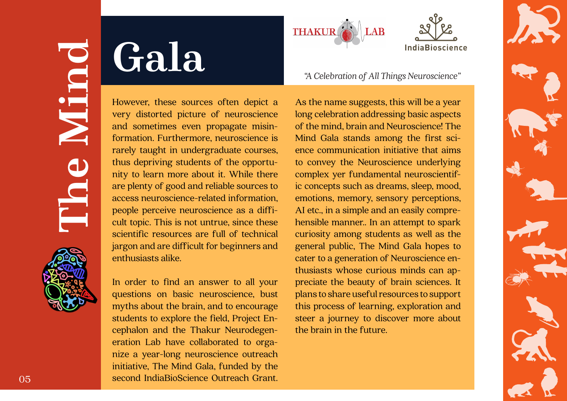## **Gala**



## **The Mind**







However, these sources often depict a very distorted picture of neuroscience and sometimes even propagate misinformation. Furthermore, neuroscience is rarely taught in undergraduate courses, thus depriving students of the opportunity to learn more about it. While there are plenty of good and reliable sources to access neuroscience-related information, people perceive neuroscience as a difficult topic. This is not untrue, since these scientific resources are full of technical jargon and are difficult for beginners and enthusiasts alike.

In order to find an answer to all your questions on basic neuroscience, bust myths about the brain, and to encourage students to explore the field, Project Encephalon and the Thakur Neurodegeneration Lab have collaborated to organize a year-long neuroscience outreach initiative, The Mind Gala, funded by the second IndiaBioScience Outreach Grant.

As the name suggests, this will be a year long celebration addressing basic aspects of the mind, brain and Neuroscience! The Mind Gala stands among the first science communication initiative that aims to convey the Neuroscience underlying complex yer fundamental neuroscientific concepts such as dreams, sleep, mood, emotions, memory, sensory perceptions, AI etc., in a simple and an easily comprehensible manner.. In an attempt to spark curiosity among students as well as the general public, The Mind Gala hopes to cater to a generation of Neuroscience enthusiasts whose curious minds can appreciate the beauty of brain sciences. It plans to share useful resources to support this process of learning, exploration and steer a journey to discover more about the brain in the future.

*"A Celebration of All Things Neuroscience"*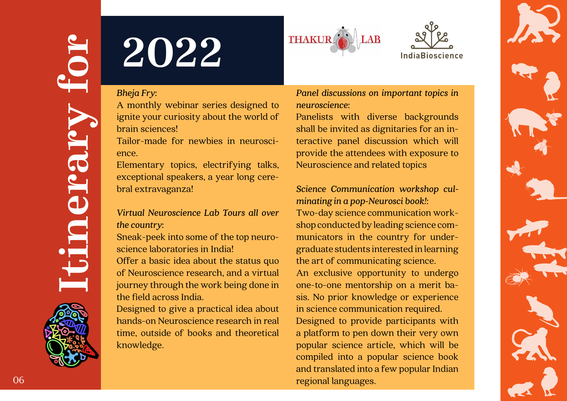

# **ISPRESS 2022**<br> **ISPRESS 2022**<br> **ISPRESS 2022**<br> **ISPRESS 2022**<br> **ISPRESS 2022**<br> **ISPRESS 2022**<br> **ISPRESS 2022**<br> **ISPRESS 2022**<br> **ISPRESS 2022**<br> **ISPRESS 2022**<br> **ISPRESS 2022**<br> **ISPRESS 2022**<br> **ISPRESS 2022**<br> **ISPRESS 2022**





### *Bheja Fry:*

A monthly webinar series designed to ignite your curiosity about the world of brain sciences!

Tailor-made for newbies in neuroscience.

Elementary topics, electrifying talks, exceptional speakers, a year long cerebral extravaganza!

### *Virtual Neuroscience Lab Tours all over the country:*

Sneak-peek into some of the top neuroscience laboratories in India!

Offer a basic idea about the status quo of Neuroscience research, and a virtual journey through the work being done in the field across India.

Designed to give a practical idea about hands-on Neuroscience research in real time, outside of books and theoretical knowledge.

*Panel discussions on important topics in neuroscience:*

Panelists with diverse backgrounds shall be invited as dignitaries for an interactive panel discussion which will provide the attendees with exposure to Neuroscience and related topics

*Science Communication workshop culminating in a pop-Neurosci book!:* Two-day science communication workshop conducted by leading science communicators in the country for undergraduate students interested in learning the art of communicating science. An exclusive opportunity to undergo one-to-one mentorship on a merit basis. No prior knowledge or experience in science communication required. Designed to provide participants with a platform to pen down their very own popular science article, which will be compiled into a popular science book and translated into a few popular Indian regional languages.